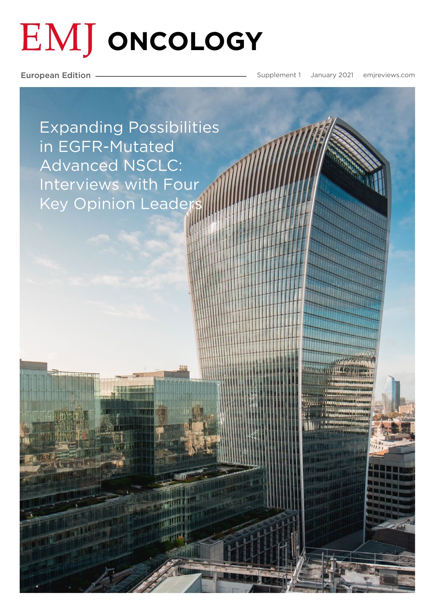# **EMJ ONCOLOGY**

European Edition

Supplement 1 January 2021 [emjreviews.com](https://www.emjreviews.com/
)

[Expanding Possibilities](#page--1-0)  in EGFR-Mutated Advanced NSCLC: Interviews with Four Key Opinion Leaders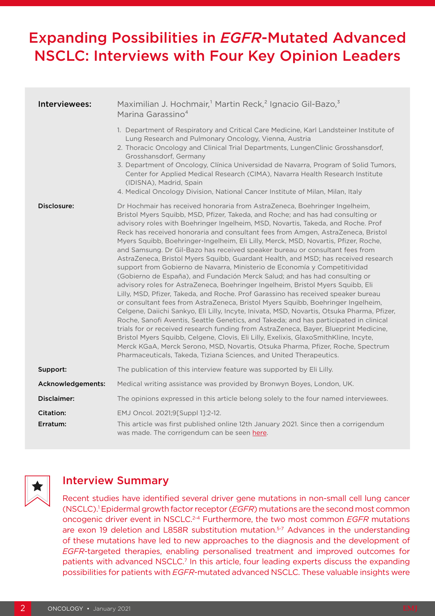## Expanding Possibilities in *EGFR*-Mutated Advanced NSCLC: Interviews with Four Key Opinion Leaders

| Interviewees:     | Maximilian J. Hochmair, <sup>1</sup> Martin Reck, <sup>2</sup> Ignacio Gil-Bazo, <sup>3</sup><br>Marina Garassino <sup>4</sup>                                                                                                                                                                                                                                                                                                                                                                                                                                                                                                                                                                                                                                                                                                                                                                                                                                                                                                                                                                                                                                                                                                                                                                                                                                                                                                                                                                                                                             |
|-------------------|------------------------------------------------------------------------------------------------------------------------------------------------------------------------------------------------------------------------------------------------------------------------------------------------------------------------------------------------------------------------------------------------------------------------------------------------------------------------------------------------------------------------------------------------------------------------------------------------------------------------------------------------------------------------------------------------------------------------------------------------------------------------------------------------------------------------------------------------------------------------------------------------------------------------------------------------------------------------------------------------------------------------------------------------------------------------------------------------------------------------------------------------------------------------------------------------------------------------------------------------------------------------------------------------------------------------------------------------------------------------------------------------------------------------------------------------------------------------------------------------------------------------------------------------------------|
|                   | 1. Department of Respiratory and Critical Care Medicine, Karl Landsteiner Institute of<br>Lung Research and Pulmonary Oncology, Vienna, Austria<br>2. Thoracic Oncology and Clinical Trial Departments, LungenClinic Grosshansdorf,<br>Grosshansdorf, Germany<br>3. Department of Oncology, Clínica Universidad de Navarra, Program of Solid Tumors,<br>Center for Applied Medical Research (CIMA), Navarra Health Research Institute<br>(IDISNA), Madrid, Spain<br>4. Medical Oncology Division, National Cancer Institute of Milan, Milan, Italy                                                                                                                                                                                                                                                                                                                                                                                                                                                                                                                                                                                                                                                                                                                                                                                                                                                                                                                                                                                                         |
| Disclosure:       | Dr Hochmair has received honoraria from AstraZeneca, Boehringer Ingelheim,<br>Bristol Myers Squibb, MSD, Pfizer, Takeda, and Roche; and has had consulting or<br>advisory roles with Boehringer Ingelheim, MSD, Novartis, Takeda, and Roche. Prof<br>Reck has received honoraria and consultant fees from Amgen, AstraZeneca, Bristol<br>Myers Squibb, Boehringer-Ingelheim, Eli Lilly, Merck, MSD, Novartis, Pfizer, Roche,<br>and Samsung. Dr Gil-Bazo has received speaker bureau or consultant fees from<br>AstraZeneca, Bristol Myers Squibb, Guardant Health, and MSD; has received research<br>support from Gobierno de Navarra, Ministerio de Economía y Competitividad<br>(Gobierno de España), and Fundación Merck Salud; and has had consulting or<br>advisory roles for AstraZeneca, Boehringer Ingelheim, Bristol Myers Squibb, Eli<br>Lilly, MSD, Pfizer, Takeda, and Roche. Prof Garassino has received speaker bureau<br>or consultant fees from AstraZeneca, Bristol Myers Squibb, Boehringer Ingelheim,<br>Celgene, Daiichi Sankyo, Eli Lilly, Incyte, Inivata, MSD, Novartis, Otsuka Pharma, Pfizer,<br>Roche, Sanofi Aventis, Seattle Genetics, and Takeda; and has participated in clinical<br>trials for or received research funding from AstraZeneca, Bayer, Blueprint Medicine,<br>Bristol Myers Squibb, Celgene, Clovis, Eli Lilly, Exelixis, GlaxoSmithKline, Incyte,<br>Merck KGaA, Merck Serono, MSD, Novartis, Otsuka Pharma, Pfizer, Roche, Spectrum<br>Pharmaceuticals, Takeda, Tiziana Sciences, and United Therapeutics. |
| Support:          | The publication of this interview feature was supported by Eli Lilly.                                                                                                                                                                                                                                                                                                                                                                                                                                                                                                                                                                                                                                                                                                                                                                                                                                                                                                                                                                                                                                                                                                                                                                                                                                                                                                                                                                                                                                                                                      |
| Acknowledgements: | Medical writing assistance was provided by Bronwyn Boyes, London, UK.                                                                                                                                                                                                                                                                                                                                                                                                                                                                                                                                                                                                                                                                                                                                                                                                                                                                                                                                                                                                                                                                                                                                                                                                                                                                                                                                                                                                                                                                                      |
| Disclaimer:       | The opinions expressed in this article belong solely to the four named interviewees.                                                                                                                                                                                                                                                                                                                                                                                                                                                                                                                                                                                                                                                                                                                                                                                                                                                                                                                                                                                                                                                                                                                                                                                                                                                                                                                                                                                                                                                                       |
| Citation:         | EMJ Oncol. 2021;9[Suppl 1]:2-12.                                                                                                                                                                                                                                                                                                                                                                                                                                                                                                                                                                                                                                                                                                                                                                                                                                                                                                                                                                                                                                                                                                                                                                                                                                                                                                                                                                                                                                                                                                                           |
| Erratum:          | This article was first published online 12th January 2021. Since then a corrigendum<br>was made. The corrigendum can be seen here.                                                                                                                                                                                                                                                                                                                                                                                                                                                                                                                                                                                                                                                                                                                                                                                                                                                                                                                                                                                                                                                                                                                                                                                                                                                                                                                                                                                                                         |



## Interview Summary

Recent studies have identified several driver gene mutations in non-small cell lung cancer (NSCLC).1 Epidermal growth factor receptor (*EGFR*) mutations are the second most common oncogenic driver event in NSCLC.2-4 Furthermore, the two most common *EGFR* mutations are exon 19 deletion and L858R substitution mutation.<sup>5-7</sup> Advances in the understanding of these mutations have led to new approaches to the diagnosis and the development of *EGFR*-targeted therapies, enabling personalised treatment and improved outcomes for patients with advanced NSCLC.<sup>7</sup> In this article, four leading experts discuss the expanding possibilities for patients with *EGFR*-mutated advanced NSCLC. These valuable insights were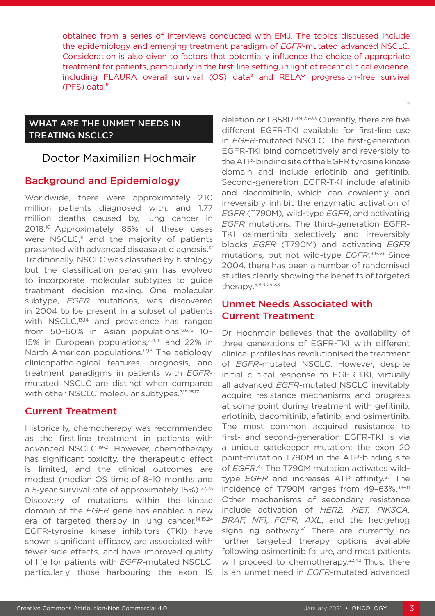obtained from a series of interviews conducted with EMJ. The topics discussed include the epidemiology and emerging treatment paradigm of *EGFR*-mutated advanced NSCLC. Consideration is also given to factors that potentially influence the choice of appropriate treatment for patients, particularly in the first-line setting, in light of recent clinical evidence, including FLAURA overall survival (OS) data<sup>8</sup> and RELAY progression-free survival (PFS) data.⁹

## WHAT ARE THE UNMET NEEDS IN TREATING NSCLC?

## Doctor Maximilian Hochmair

## Background and Epidemiology

Worldwide, there were approximately 2.10 million patients diagnosed with, and 1.77 million deaths caused by, lung cancer in 2018.10 Approximately 85% of these cases were  $NSCLC$ ,<sup> $11$ </sup> and the majority of patients presented with advanced disease at diagnosis.12 Traditionally, NSCLC was classified by histology but the classification paradigm has evolved to incorporate molecular subtypes to guide treatment decision making. One molecular subtype, *EGFR* mutations, was discovered in 2004 to be present in a subset of patients with NSCLC,<sup>13,14</sup> and prevalence has ranged from 50-60% in Asian populations,<sup>5,6,15</sup> 10-15% in European populations,<sup>3,4,16</sup> and 22% in North American populations.<sup>17,18</sup> The aetiology, clinicopathological features, prognosis, and treatment paradigms in patients with *EGFR*mutated NSCLC are distinct when compared with other NSCLC molecular subtypes.<sup>7,13-15,17</sup>

## Current Treatment

Historically, chemotherapy was recommended as the first-line treatment in patients with advanced NSCLC.<sup>19-21</sup> However, chemotherapy has significant toxicity, the therapeutic effect is limited, and the clinical outcomes are modest (median OS time of 8–10 months and a 5-year survival rate of approximately 15%).<sup>22,23</sup> Discovery of mutations within the kinase domain of the *EGFR* gene has enabled a new era of targeted therapy in lung cancer.<sup>14,15,24</sup> EGFR-tyrosine kinase inhibitors (TKI) have shown significant efficacy, are associated with fewer side effects, and have improved quality of life for patients with *EGFR*-mutated NSCLC, particularly those harbouring the exon 19

deletion or L858R.8,9,25-33 Currently, there are five different EGFR-TKI available for first-line use in *EGFR*-mutated NSCLC. The first-generation EGFR-TKI bind competitively and reversibly to the ATP-binding site of the EGFR tyrosine kinase domain and include erlotinib and gefitinib. Second-generation EGFR-TKI include afatinib and dacomitinib, which can covalently and irreversibly inhibit the enzymatic activation of *EGFR* (T790M), wild-type *EGFR*, and activating *EGFR* mutations. The third-generation EGFR-TKI osimertinib selectively and irreversibly blocks *EGFR* (T790M) and activating *EGFR*  mutations, but not wild-type *EGFR*. 34-36 Since 2004, there has been a number of randomised studies clearly showing the benefits of targeted therapy. 6,8,9,25-33

## Unmet Needs Associated with Current Treatment

Dr Hochmair believes that the availability of three generations of EGFR-TKI with different clinical profiles has revolutionised the treatment of *EGFR*-mutated NSCLC. However, despite initial clinical response to EGFR-TKI, virtually all advanced *EGFR*-mutated NSCLC inevitably acquire resistance mechanisms and progress at some point during treatment with gefitinib, erlotinib, dacomitinib, afatinib, and osimertinib. The most common acquired resistance to first- and second-generation EGFR-TKI is via a unique gatekeeper mutation: the exon 20 point-mutation T790M in the ATP-binding site of *EGFR*. 37 The T790M mutation activates wildtype *EGFR* and increases ATP affinity.<sup>37</sup> The incidence of T790M ranges from 49-63%.<sup>38-41</sup> Other mechanisms of secondary resistance include activation of *HER2, MET, PIK3CA, BRAF, NF1, FGFR, AXL*, and the hedgehog signalling pathway.<sup>41</sup> There are currently no further targeted therapy options available following osimertinib failure, and most patients will proceed to chemotherapy.<sup>22,42</sup> Thus, there is an unmet need in *EGFR*-mutated advanced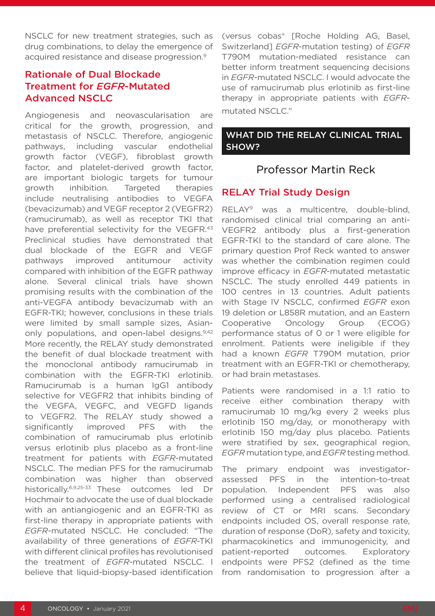NSCLC for new treatment strategies, such as drug combinations, to delay the emergence of acquired resistance and disease progression.9

## Rationale of Dual Blockade Treatment for *EGFR*-Mutated Advanced NSCLC

Angiogenesis and neovascularisation are critical for the growth, progression, and metastasis of NSCLC. Therefore, angiogenic pathways, including vascular endothelial growth factor (VEGF), fibroblast growth factor, and platelet-derived growth factor, are important biologic targets for tumour growth inhibition. Targeted therapies include neutralising antibodies to VEGFA (bevacizumab) and VEGF receptor 2 (VEGFR2) (ramucirumab), as well as receptor TKI that have preferential selectivity for the VEGFR.<sup>43</sup> Preclinical studies have demonstrated that dual blockade of the EGFR and VEGF pathways improved antitumour activity compared with inhibition of the EGFR pathway alone. Several clinical trials have shown promising results with the combination of the anti-VEGFA antibody bevacizumab with an EGFR-TKI; however, conclusions in these trials were limited by small sample sizes, Asianonly populations, and open-label designs.9,42 More recently, the RELAY study demonstrated the benefit of dual blockade treatment with the monoclonal antibody ramucirumab in combination with the EGFR-TKI erlotinib. Ramucirumab is a human IgG1 antibody selective for VEGFR2 that inhibits binding of the VEGFA, VEGFC, and VEGFD ligands to VEGFR2. The RELAY study showed a significantly improved PFS with the combination of ramucirumab plus erlotinib versus erlotinib plus placebo as a front-line treatment for patients with *EGFR*-mutated NSCLC. The median PFS for the ramucirumab combination was higher than observed historically.6,9,25-33 These outcomes led Dr Hochmair to advocate the use of dual blockade with an antiangiogenic and an EGFR-TKI as first-line therapy in appropriate patients with *EGFR*-mutated NSCLC. He concluded: "The availability of three generations of *EGFR*-TKI with different clinical profiles has revolutionised the treatment of *EGFR*-mutated NSCLC. I believe that liquid-biopsy-based identification

(versus cobas® [Roche Holding AG, Basel, Switzerland] *EGFR*-mutation testing) of *EGFR*  T790M mutation-mediated resistance can better inform treatment sequencing decisions in *EGFR*-mutated NSCLC. I would advocate the use of ramucirumab plus erlotinib as first-line therapy in appropriate patients with *EGFR*mutated NSCLC."

## WHAT DID THE RELAY CLINICAL TRIAL SHOW?

## Professor Martin Reck

## RELAY Trial Study Design

RELAY9 was a multicentre, double-blind, randomised clinical trial comparing an anti-VEGFR2 antibody plus a first-generation EGFR-TKI to the standard of care alone. The primary question Prof Reck wanted to answer was whether the combination regimen could improve efficacy in *EGFR*-mutated metastatic NSCLC. The study enrolled 449 patients in 100 centres in 13 countries. Adult patients with Stage IV NSCLC, confirmed *EGFR* exon 19 deletion or L858R mutation, and an Eastern Cooperative Oncology Group (ECOG) performance status of 0 or 1 were eligible for enrolment. Patients were ineligible if they had a known *EGFR* T790M mutation, prior treatment with an EGFR-TKI or chemotherapy, or had brain metastases.

Patients were randomised in a 1:1 ratio to receive either combination therapy with ramucirumab 10 mg/kg every 2 weeks plus erlotinib 150 mg/day, or monotherapy with erlotinib 150 mg/day plus placebo. Patients were stratified by sex, geographical region, *EGFR* mutation type, and *EGFR* testing method.

The primary endpoint was investigatorassessed PFS in the intention-to-treat population. Independent PFS was also performed using a centralised radiological review of CT or MRI scans. Secondary endpoints included OS, overall response rate, duration of response (DoR), safety and toxicity, pharmacokinetics and immunogenicity, and patient-reported outcomes. Exploratory endpoints were PFS2 (defined as the time from randomisation to progression after a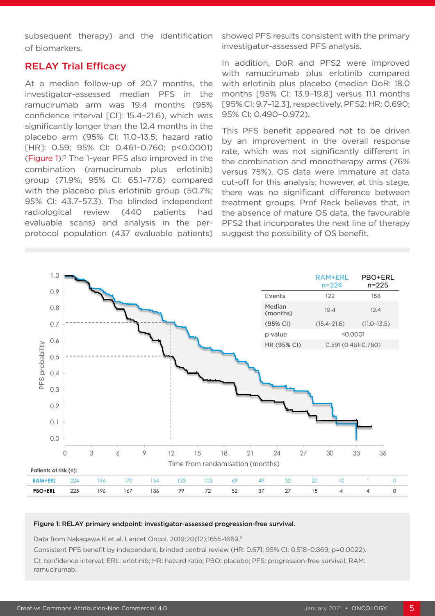subsequent therapy) and the identification of biomarkers.

## RELAY Trial Efficacy

At a median follow-up of 20.7 months, the investigator-assessed median PFS in the ramucirumab arm was 19.4 months (95% confidence interval [CI]: 15.4–21.6), which was significantly longer than the 12.4 months in the placebo arm (95% CI: 11.0–13.5; hazard ratio [HR]: 0.59; 95% CI: 0.461–0.760; p<0.0001) (Figure 1). 9 The 1-year PFS also improved in the combination (ramucirumab plus erlotinib) group (71.9%; 95% CI: 65.1–77.6) compared with the placebo plus erlotinib group (50.7%; 95% CI: 43.7–57.3). The blinded independent radiological review (440 patients had evaluable scans) and analysis in the perprotocol population (437 evaluable patients)

showed PFS results consistent with the primary investigator-assessed PFS analysis.

In addition, DoR and PFS2 were improved with ramucirumab plus erlotinib compared with erlotinib plus placebo (median DoR: 18.0 months [95% CI: 13.9–19.8] versus 11.1 months [95% CI: 9.7–12.3], respectively, PFS2: HR: 0.690; 95% CI: 0.490–0.972).

This PFS benefit appeared not to be driven by an improvement in the overall response rate, which was not significantly different in the combination and monotherapy arms (76% versus 75%). OS data were immature at data cut-off for this analysis; however, at this stage, there was no significant difference between treatment groups. Prof Reck believes that, in the absence of mature OS data, the favourable PFS2 that incorporates the next line of therapy suggest the possibility of OS benefit.



#### Figure 1: RELAY primary endpoint: investigator-assessed progression-free survival.

Data from Nakagawa K et al. Lancet Oncol. 2019;20(12):1655-1669.9

Consistent PFS benefit by independent, blinded central review (HR: 0.671; 95% CI: 0.518–0.869; p=0.0022). CI: confidence interval; ERL: erlotinib; HR: hazard ratio; PBO: placebo; PFS: progression-free survival; RAM: ramucirumab.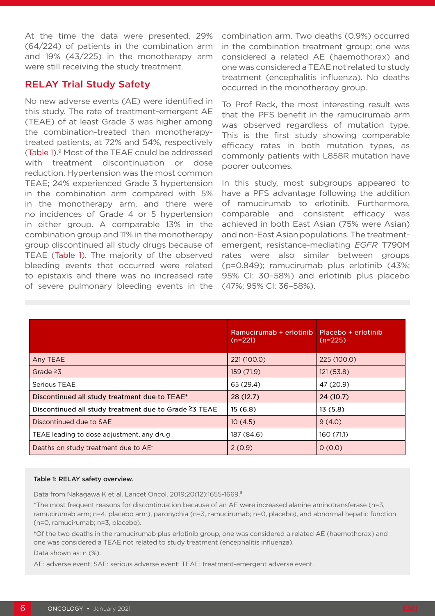At the time the data were presented, 29% (64/224) of patients in the combination arm and 19% (43/225) in the monotherapy arm were still receiving the study treatment.

## RELAY Trial Study Safety

No new adverse events (AE) were identified in this study. The rate of treatment-emergent AE (TEAE) of at least Grade 3 was higher among the combination-treated than monotherapytreated patients, at 72% and 54%, respectively (Table 1). 9 Most of the TEAE could be addressed with treatment discontinuation or dose reduction. Hypertension was the most common TEAE; 24% experienced Grade 3 hypertension in the combination arm compared with 5% in the monotherapy arm, and there were no incidences of Grade 4 or 5 hypertension in either group. A comparable 13% in the combination group and 11% in the monotherapy group discontinued all study drugs because of TEAE (Table 1). The majority of the observed bleeding events that occurred were related to epistaxis and there was no increased rate of severe pulmonary bleeding events in the

combination arm. Two deaths (0.9%) occurred in the combination treatment group: one was considered a related AE (haemothorax) and one was considered a TEAE not related to study treatment (encephalitis influenza). No deaths occurred in the monotherapy group.

To Prof Reck, the most interesting result was that the PFS benefit in the ramucirumab arm was observed regardless of mutation type. This is the first study showing comparable efficacy rates in both mutation types, as commonly patients with L858R mutation have poorer outcomes.

In this study, most subgroups appeared to have a PFS advantage following the addition of ramucirumab to erlotinib. Furthermore, comparable and consistent efficacy was achieved in both East Asian (75% were Asian) and non-East Asian populations. The treatmentemergent, resistance-mediating *EGFR* T790M rates were also similar between groups (p=0.849); ramucirumab plus erlotinib (43%; 95% CI: 30–58%) and erlotinib plus placebo (47%; 95% CI: 36–58%).

|                                                       | Ramucirumab + erlotinib<br>$(n=221)$ | Placebo + erlotinib<br>$(n=225)$ |
|-------------------------------------------------------|--------------------------------------|----------------------------------|
| Any TEAE                                              | 221 (100.0)                          | 225 (100.0)                      |
| Grade $\geq 3$                                        | 159 (71.9)                           | 121(53.8)                        |
| Serious TEAE                                          | 65 (29.4)                            | 47 (20.9)                        |
| Discontinued all study treatment due to TEAE*         | 28(12.7)                             | 24(10.7)                         |
| Discontinued all study treatment due to Grade ≥3 TEAE | 15(6.8)                              | 13(5.8)                          |
| Discontinued due to SAE                               | 10(4.5)                              | 9(4.0)                           |
| TEAE leading to dose adjustment, any drug             | 187 (84.6)                           | 160 (71.1)                       |
| Deaths on study treatment due to AE <sup>+</sup>      | 2(0.9)                               | 0(0.0)                           |

#### Table 1: RELAY safety overview.

Data from Nakagawa K et al. Lancet Oncol. 2019:20(12):1655-1669.<sup>9</sup>

\*The most frequent reasons for discontinuation because of an AE were increased alanine aminotransferase (n=3, ramucirumab arm; n=4, placebo arm), paronychia (n=3, ramucirumab; n=0, placebo), and abnormal hepatic function (n=0, ramucirumab; n=3, placebo).

†Of the two deaths in the ramucirumab plus erlotinib group, one was considered a related AE (haemothorax) and one was considered a TEAE not related to study treatment (encephalitis influenza).

Data shown as: n (%).

AE: adverse event; SAE: serious adverse event; TEAE: treatment-emergent adverse event.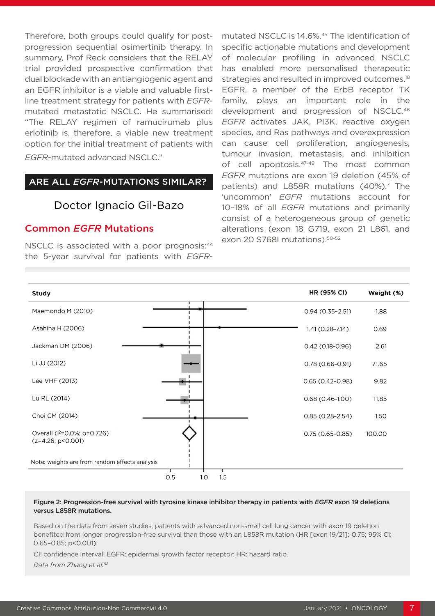Therefore, both groups could qualify for postprogression sequential osimertinib therapy. In summary, Prof Reck considers that the RELAY trial provided prospective confirmation that dual blockade with an antiangiogenic agent and an EGFR inhibitor is a viable and valuable firstline treatment strategy for patients with *EGFR*mutated metastatic NSCLC. He summarised: "The RELAY regimen of ramucirumab plus erlotinib is, therefore, a viable new treatment option for the initial treatment of patients with *EGFR*-mutated advanced NSCLC."

### ARE ALL *EGFR*-MUTATIONS SIMILAR?

## Doctor Ignacio Gil-Bazo

## Common *EGFR* Mutations

NSCLC is associated with a poor prognosis:<sup>44</sup> the 5-year survival for patients with *EGFR*-

mutated NSCLC is 14.6%.45 The identification of specific actionable mutations and development of molecular profiling in advanced NSCLC has enabled more personalised therapeutic strategies and resulted in improved outcomes.<sup>18</sup> EGFR, a member of the ErbB receptor TK family, plays an important role in the development and progression of NSCLC.46 *EGFR* activates JAK, PI3K, reactive oxygen species, and Ras pathways and overexpression can cause cell proliferation, angiogenesis, tumour invasion, metastasis, and inhibition of cell apoptosis.47-49 The most common *EGFR* mutations are exon 19 deletion (45% of patients) and L858R mutations (40%).<sup>7</sup> The 'uncommon' *EGFR* mutations account for 10–18% of all *EGFR* mutations and primarily consist of a heterogeneous group of genetic alterations (exon 18 G719, exon 21 L861, and exon 20 S768I mutations). 50-52



#### Figure 2: Progression-free survival with tyrosine kinase inhibitor therapy in patients with *EGFR* exon 19 deletions versus L858R mutations.

Based on the data from seven studies, patients with advanced non-small cell lung cancer with exon 19 deletion benefited from longer progression-free survival than those with an L858R mutation (HR [exon 19/21] :  0.75; 95% CI: 0.65–0.85; p<0.001).

CI: confidence interval; EGFR: epidermal growth factor receptor; HR: hazard ratio.

*Data from Zhang et al.62*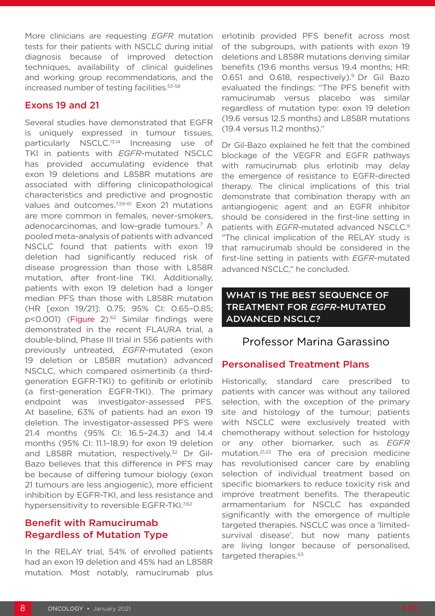More clinicians are requesting *EGFR* mutation tests for their patients with NSCLC during initial diagnosis because of improved detection techniques, availability of clinical guidelines and working group recommendations, and the increased number of testing facilities.53-58

## Exons 19 and 21

Several studies have demonstrated that EGFR is uniquely expressed in tumour tissues, particularly NSCLC.13,14 Increasing use of TKI in patients with *EGFR-*mutated NSCLC has provided accumulating evidence that exon 19 deletions and L858R mutations are associated with differing clinicopathological characteristics and predictive and prognostic values and outcomes.<sup>7,59-61</sup> Exon 21 mutations are more common in females, never-smokers, adenocarcinomas, and low-grade tumours.7 A pooled meta-analysis of patients with advanced NSCLC found that patients with exon 19 deletion had significantly reduced risk of disease progression than those with L858R mutation, after front-line TKI. Additionally, patients with exon 19 deletion had a longer median PFS than those with L858R mutation (HR [exon 19/21]: 0.75; 95% CI: 0.65–0.85; p<0.001) (Figure 2).<sup>62</sup> Similar findings were demonstrated in the recent FLAURA trial, a double-blind, Phase III trial in 556 patients with previously untreated, *EGFR*-mutated (exon 19 deletion or L858R mutation) advanced NSCLC, which compared osimertinib (a thirdgeneration EGFR-TKI) to gefitinib or erlotinib (a first-generation EGFR-TKI). The primary endpoint was investigator-assessed PFS. At baseline, 63% of patients had an exon 19 deletion. The investigator-assessed PFS were 21.4 months (95% CI: 16.5–24.3) and 14.4 months (95% CI: 11.1–18.9) for exon 19 deletion and L858R mutation, respectivelv.<sup>32</sup> Dr Gil-Bazo believes that this difference in PFS may be because of differing tumour biology (exon 21 tumours are less angiogenic), more efficient inhibition by EGFR-TKI, and less resistance and hypersensitivity to reversible EGFR-TKI.<sup>7,62</sup>

## Benefit with Ramucirumab Regardless of Mutation Type

In the RELAY trial, 54% of enrolled patients had an exon 19 deletion and 45% had an L858R mutation. Most notably, ramucirumab plus

erlotinib provided PFS benefit across most of the subgroups, with patients with exon 19 deletions and L858R mutations deriving similar benefits (19.6 months versus 19.4 months; HR: 0.651 and 0.618, respectively).<sup>9</sup> Dr Gil Bazo evaluated the findings: "The PFS benefit with ramucirumab versus placebo was similar regardless of mutation type: exon 19 deletion (19.6 versus 12.5 months) and L858R mutations (19.4 versus 11.2 months)."

Dr Gil-Bazo explained he felt that the combined blockage of the VEGFR and EGFR pathways with ramucirumab plus erlotinib may delay the emergence of resistance to EGFR-directed therapy. The clinical implications of this trial demonstrate that combination therapy with an antiangiogenic agent and an EGFR inhibitor should be considered in the first-line setting in patients with *EGFR*-mutated advanced NSCLC.9 "The clinical implication of the RELAY study is that ramucirumab should be considered in the first-line setting in patients with *EGFR*-mutated advanced NSCLC," he concluded.

## WHAT IS THE BEST SEQUENCE OF TREATMENT FOR *EGFR*-MUTATED ADVANCED NSCLC?

## Professor Marina Garassino

## Personalised Treatment Plans

Historically, standard care prescribed to patients with cancer was without any tailored selection, with the exception of the primary site and histology of the tumour; patients with NSCLC were exclusively treated with chemotherapy without selection for histology or any other biomarker, such as *EGFR* mutation.21,22 The era of precision medicine has revolutionised cancer care by enabling selection of individual treatment based on specific biomarkers to reduce toxicity risk and improve treatment benefits. The therapeutic armamentarium for NSCLC has expanded significantly with the emergence of multiple targeted therapies. NSCLC was once a 'limitedsurvival disease', but now many patients are living longer because of personalised, targeted therapies.<sup>63</sup>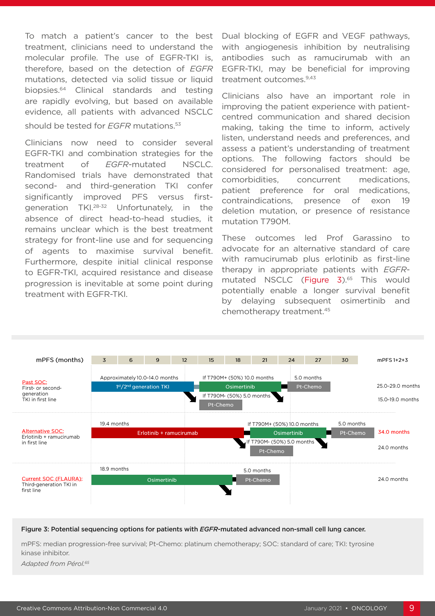To match a patient's cancer to the best treatment, clinicians need to understand the molecular profile. The use of EGFR-TKI is, therefore, based on the detection of *EGFR* mutations, detected via solid tissue or liquid biopsies.64 Clinical standards and testing are rapidly evolving, but based on available evidence, all patients with advanced NSCLC should be tested for *EGFR* mutations<sup>53</sup>

Clinicians now need to consider several EGFR-TKI and combination strategies for the treatment of *EGFR*-mutated NSCLC. Randomised trials have demonstrated that second- and third-generation TKI confer significantly improved PFS versus firstgeneration TKI.28-32 Unfortunately, in the absence of direct head-to-head studies, it remains unclear which is the best treatment strategy for front-line use and for sequencing of agents to maximise survival benefit. Furthermore, despite initial clinical response to EGFR-TKI, acquired resistance and disease progression is inevitable at some point during treatment with EGFR-TKI.

Dual blocking of EGFR and VEGF pathways, with angiogenesis inhibition by neutralising antibodies such as ramucirumab with an EGFR-TKI, may be beneficial for improving treatment outcomes.<sup>9,43</sup>

Clinicians also have an important role in improving the patient experience with patientcentred communication and shared decision making, taking the time to inform, actively listen, understand needs and preferences, and assess a patient's understanding of treatment options. The following factors should be considered for personalised treatment: age, comorbidities, concurrent medications, patient preference for oral medications, contraindications, presence of exon 19 deletion mutation, or presence of resistance mutation T790M.

These outcomes led Prof Garassino to advocate for an alternative standard of care with ramucirumab plus erlotinib as first-line therapy in appropriate patients with *EGFR*mutated NSCLC (Figure 3).<sup>65</sup> This would potentially enable a longer survival benefit by delaying subsequent osimertinib and chemotherapy treatment.45



#### Figure 3: Potential sequencing options for patients with *EGFR*-mutated advanced non-small cell lung cancer.

mPFS: median progression-free survival; Pt-Chemo: platinum chemotherapy; SOC: standard of care; TKI: tyrosine kinase inhibitor.

*Adapted from Pérol.65*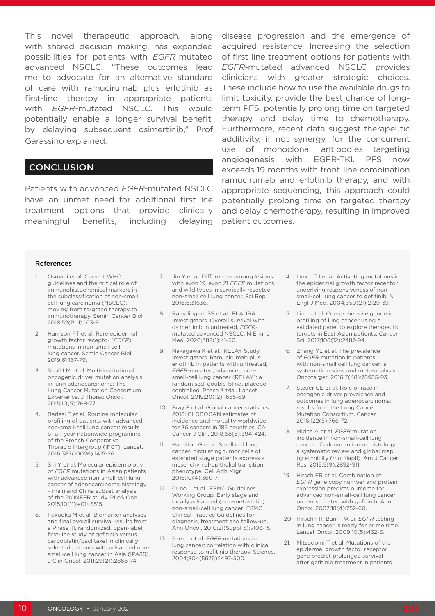This novel therapeutic approach, along with shared decision making, has expanded possibilities for patients with *EGFR*-mutated advanced NSCLC. "These outcomes lead me to advocate for an alternative standard of care with ramucirumab plus erlotinib as first-line therapy in appropriate patients with *EGFR*-mutated NSCLC. This would potentially enable a longer survival benefit, by delaying subsequent osimertinib," Prof Garassino explained.

## **CONCLUSION**

Patients with advanced *EGFR-*mutated NSCLC have an unmet need for additional first-line treatment options that provide clinically meaningful benefits, including delaying

disease progression and the emergence of acquired resistance. Increasing the selection of first-line treatment options for patients with *EGFR*-mutated advanced NSCLC provides clinicians with greater strategic choices. These include how to use the available drugs to limit toxicity, provide the best chance of longterm PFS, potentially prolong time on targeted therapy, and delay time to chemotherapy. Furthermore, recent data suggest therapeutic additivity, if not synergy, for the concurrent use of monoclonal antibodies targeting angiogenesis with EGFR-TKI. PFS now exceeds 19 months with front-line combination ramucirumab and erlotinib therapy, and with appropriate sequencing, this approach could potentially prolong time on targeted therapy and delay chemotherapy, resulting in improved patient outcomes.

#### References

- 1. Osmani et al. Current WHO guidelines and the critical role of immunohistochemical markers in the subclassification of non-small cell lung carcinoma (NSCLC): moving from targeted therapy to immunotherapy. Semin Cancer Biol. 2018;52(Pt 1):103-9.
- 2. Harrison PT et al. Rare epidermal growth factor receptor (*EGFR*) mutations in non-small cell lung cancer. Semin Cancer Biol. 2019;61:167-79.
- 3. Sholl LM et al. Multi-institutional oncogenic driver mutation analysis in lung adenocarcinoma: The Lung Cancer Mutation Consortium Experience. J Thorac Oncol. 2015;10(5):768-77.
- 4. Barlesi F et al. Routine molecular profiling of patients with advanced non-small-cell lung cancer: results of a 1-year nationwide programme of the French Cooperative Thoracic Intergroup (IFCT). Lancet. 2016;387(10026):1415-26.
- 5. Shi Y et al. Molecular epidemiology of *EGFR* mutations in Asian patients with advanced non-small-cell lung cancer of adenocarcinoma histology – mainland China subset analysis of the PIONEER study. PLoS One. 2015;10(11):e0143515.
- 6. Fukuoka M et al. Biomarker analyses and final overall survival results from a Phase III, randomized, open-label, first-line study of gefitinib versus carboplatin/paclitaxel in clinically selected patients with advanced nonsmall-cell lung cancer in Asia (IPASS). J Clin Oncol. 2011;29(21):2866-74.
- 7. Jin Y et al. Differences among lesions with exon 19, exon 21 *EGFR* mutations and wild types in surgically resected non-small cell lung cancer. Sci Rep. 2016;6:31636.
- 8. Ramalingam SS et al.; FLAURA Investigators. Overall survival with osimertinib in untreated, *EGFR*mutated advanced NSCLC. N Engl J Med. 2020;382(1):41-50.
- 9. Nakagawa K et al.; RELAY Study Investigators. Ramucirumab plus erlotinib in patients with untreated, *EGFR*-mutated, advanced nonsmall-cell lung cancer (RELAY): a randomised, double-blind, placebocontrolled, Phase 3 trial. Lancet Oncol. 2019;20(12):1655-69.
- 10. Bray F et al. Global cancer statistics 2018: GLOBOCAN estimates of incidence and mortality worldwide for 36 cancers in 185 countries. CA Cancer J Clin. 2018;68(6):394-424.
- 11. Hamilton G et al. Small cell lung cancer: circulating tumor cells of extended stage patients express a mesenchymal-epithelial transition phenotype. Cell Adh Migr. 2016;10(4):360-7.
- 12. Crinò L et al.; ESMO Guidelines Working Group. Early stage and locally advanced (non-metastatic) non-small-cell lung cancer: ESMO Clinical Practice Guidelines for diagnosis, treatment and follow-up. Ann Oncol. 2010;21(Suppl 5):v103-15.
- 13. Paez J et al. *EGFR* mutations in lung cancer: correlation with clinical response to gefitinib therapy. Science. 2004;304(5676):1497-500.
- 14. Lynch TJ et al. Activating mutations in the epidermal growth factor receptor underlying responsiveness of nonsmall-cell lung cancer to gefitinib. N Engl J Med. 2004;350(21):2129-39.
- 15. Liu L et al. Comprehensive genomic profiling of lung cancer using a validated panel to explore therapeutic targets in East Asian patients. Cancer Sci. 2017;108(12):2487-94.
- 16. Zhang YL et al. The prevalence of *EGFR* mutation in patients with non-small cell lung cancer: a systematic review and meta-analysis. Oncotarget. 2016;7(48):78985-93.
- 17. Steuer CE et al. Role of race in oncogenic driver prevalence and outcomes in lung adenocarcinoma: results from the Lung Cancer Mutation Consortium. Cancer. 2016;122(5):766-72.
- 18. Midha A et al. *EGFR* mutation incidence in non-small-cell lung cancer of adenocarcinoma histology: a systematic review and global map by ethnicity (mutMapII). Am J Cancer Res. 2015;5(9):2892-911.
- 19. Hirsch FR et al. Combination of *EGFR* gene copy number and protein expression predicts outcome for advanced non-small-cell lung cancer patients treated with gefitinib. Ann Oncol. 2007;18(4):752-60.
- 20. Hirsch FR, Bunn PA Jr. *EGFR* testing in lung cancer is ready for prime time. Lancet Oncol. 2009;10(5):432-3.
- 21. Mitsudomi T et al. Mutations of the epidermal growth factor receptor gene predict prolonged survival after gefitinib treatment in patients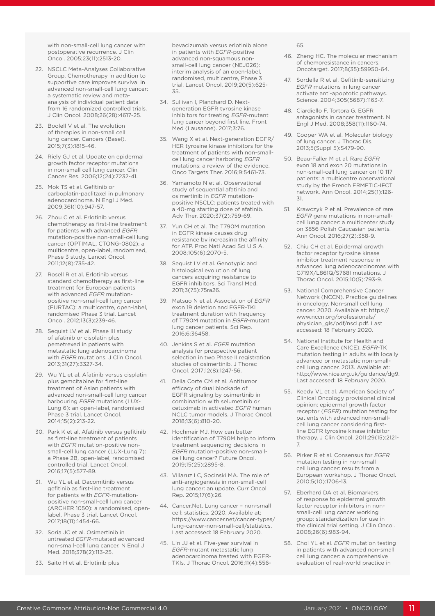with non-small-cell lung cancer with postoperative recurrence. J Clin Oncol. 2005;23(11):2513-20.

- 22. NSCLC Meta-Analyses Collaborative Group. Chemotherapy in addition to supportive care improves survival in advanced non-small-cell lung cancer: a systematic review and metaanalysis of individual patient data from 16 randomized controlled trials. J Clin Oncol. 2008;26(28):4617-25.
- 23. Boolell V et al. The evolution of therapies in non-small cell lung cancer. Cancers (Basel). 2015;7(3):1815-46.
- 24. Riely GJ et al. Update on epidermal growth factor receptor mutations in non-small cell lung cancer. Clin Cancer Res. 2006;12(24):7232-41.
- 25. Mok TS et al. Gefitinib or carboplatin-paclitaxel in pulmonary adenocarcinoma. N Engl J Med. 2009;361(10):947-57.
- 26. Zhou C et al. Erlotinib versus chemotherapy as first-line treatment for patients with advanced *EGFR* mutation-positive non-small-cell lung cancer (OPTIMAL, CTONG-0802): a multicentre, open-label, randomised, Phase 3 study. Lancet Oncol. 2011;12(8):735-42.
- 27. Rosell R et al. Erlotinib versus standard chemotherapy as first-line treatment for European patients with advanced *EGFR* mutationpositive non-small-cell lung cancer (EURTAC): a multicentre, open-label, randomised Phase 3 trial. Lancet Oncol. 2012;13(3):239-46.
- 28. Sequist LV et al. Phase III study of afatinib or cisplatin plus pemetrexed in patients with metastatic lung adenocarcinoma with *EGFR* mutations. J Clin Oncol. 2013;31(27):3327-34.
- 29. Wu YL et al. Afatinib versus cisplatin plus gemcitabine for first-line treatment of Asian patients with advanced non-small-cell lung cancer harbouring *EGFR* mutations (LUX-Lung 6): an open-label, randomised Phase 3 trial. Lancet Oncol. 2014;15(2):213-22.
- 30. Park K et al. Afatinib versus gefitinib as first-line treatment of patients with *EGFR* mutation-positive nonsmall-cell lung cancer (LUX-Lung 7): a Phase 2B, open-label, randomised controlled trial. Lancet Oncol. 2016;17(5):577-89.
- 31. Wu YL et al. Dacomitinib versus gefitinib as first-line treatment for patients with *EGFR*-mutationpositive non-small-cell lung cancer (ARCHER 1050): a randomised, openlabel, Phase 3 trial. Lancet Oncol. 2017;18(11):1454-66.
- 32. Soria JC et al. Osimertinib in untreated *EGFR*-mutated advanced non-small-cell lung cancer. N Engl J Med. 2018;378(2):113-25.
- 33. Saito H et al. Erlotinib plus

bevacizumab versus erlotinib alone in patients with *EGFR*-positive advanced non-squamous nonsmall-cell lung cancer (NEJ026): interim analysis of an open-label, randomised, multicentre, Phase 3 trial. Lancet Oncol. 2019;20(5):625- 35.

- 34. Sullivan I, Planchard D. Nextgeneration EGFR tyrosine kinase inhibitors for treating *EGFR*-mutant lung cancer beyond first line. Front Med (Lausanne). 2017;3:76.
- 35. Wang X et al. Next-generation EGFR/ HER tyrosine kinase inhibitors for the treatment of patients with non-smallcell lung cancer harboring *EGFR* mutations: a review of the evidence. Onco Targets Ther. 2016;9:5461-73.
- 36. Yamamoto N et al. Observational study of sequential afatinib and osimertinib in *EGFR* mutationpositive NSCLC: patients treated with a 40-mg starting dose of afatinib. Adv Ther. 2020;37(2):759-69.
- 37. Yun CH et al. The T790M mutation in EGFR kinase causes drug resistance by increasing the affinity for ATP. Proc Natl Acad Sci U S A. 2008;105(6):2070-5.
- 38. Sequist LV et al. Genotypic and histological evolution of lung cancers acquiring resistance to EGFR inhibitors. Sci Transl Med. 2011;3(75):75ra26.
- 39. Matsuo N et al. Association of *EGFR* exon 19 deletion and EGFR-TKI treatment duration with frequency of T790M mutation in *EGFR*-mutant lung cancer patients. Sci Rep. 2016;6:36458.
- 40. Jenkins S et al. *EGFR* mutation analysis for prospective patient selection in two Phase II registration studies of osimertinib. J Thorac Oncol. 2017;12(8):1247-56.
- 41. Della Corte CM et al. Antitumor efficacy of dual blockade of EGFR signaling by osimertinib in combination with selumetinib or cetuximab in activated *EGFR* human NCLC tumor models. J Thorac Oncol. 2018;13(6):810-20.
- 42. Hochmair MJ. How can better identification of T790M help to inform treatment sequencing decisions in *EGFR* mutation-positive non-smallcell lung cancer? Future Oncol. 2019;15(25):2895-8.
- 43. Villaruz LC, Socinski MA. The role of anti-angiogenesis in non-small-cell lung cancer: an update. Curr Oncol Rep. 2015;17(6):26.
- 44. Cancer.Net. Lung cancer non-small cell: statistics. 2020. Available at: https://www.cancer.net/cancer-types/ lung-cancer-non-small-cell/statistics. Last accessed: 18 February 2020.
- 45. Lin JJ et al. Five-year survival in *EGFR*-mutant metastatic lung adenocarcinoma treated with EGFR-TKIs. J Thorac Oncol. 2016;11(4):556-

65.

- 46. Zheng HC. The molecular mechanism of chemoresistance in cancers. Oncotarget. 2017;8(35):59950-64.
- 47. Sordella R et al. Gefitinib-sensitizing *EGFR* mutations in lung cancer activate anti-apoptotic pathways. Science. 2004;305(5687):1163-7.
- 48. Ciardiello F, Tortora G. EGFR antagonists in cancer treatment. N Engl J Med. 2008;358(11):1160-74.
- 49. Cooper WA et al. Molecular biology of lung cancer. J Thorac Dis. 2013;5(Suppl 5):S479-90.
- 50. Beau-Faller M et al. Rare *EGFR* exon 18 and exon 20 mutations in non-small-cell lung cancer on 10 117 patients: a multicentre observational study by the French ERMETIC-IFCT network. Ann Oncol. 2014;25(1):126- 31.
- 51. Krawczyk P et al. Prevalence of rare *EGFR* gene mutations in non-smallcell lung cancer: a multicenter study on 3856 Polish Caucasian patients. Ann Oncol. 2016;27(2):358-9.
- 52. Chiu CH et al. Epidermal growth factor receptor tyrosine kinase inhibitor treatment response in advanced lung adenocarcinomas with G719X/L861Q/S768I mutations. J Thorac Oncol. 2015;10(5):793-9.
- 53. National Comprehensive Cancer Network (NCCN). Practice guidelines in oncology. Non-small cell lung cancer. 2020. Available at: https:// www.nccn.org/professionals/ physician\_gls/pdf/nscl.pdf. Last accessed: 18 February 2020.
- 54. National Institute for Health and Care Excellence (NICE). *EGFR*-TK mutation testing in adults with locally advanced or metastatic non-smallcell lung cancer. 2013. Available at: http://www.nice.org.uk/guidance/dg9. Last accessed: 18 February 2020.
- 55. Keedy VL et al. American Society of Clinical Oncology provisional clinical opinion: epidermal growth factor receptor (*EGFR*) mutation testing for patients with advanced non-smallcell lung cancer considering firstline EGFR tyrosine kinase inhibitor therapy. J Clin Oncol. 2011;29(15):2121- 7.
- 56. Pirker R et al. Consensus for *EGFR* mutation testing in non-small cell lung cancer: results from a European workshop. J Thorac Oncol. 2010;5(10):1706-13.
- 57. Eberhard DA et al. Biomarkers of response to epidermal growth factor receptor inhibitors in nonsmall-cell lung cancer working group: standardization for use in the clinical trial setting. J Clin Oncol. 2008;26(6):983-94.
- 58. Choi YL et al. *EGFR* mutation testing in patients with advanced non-small cell lung cancer: a comprehensive evaluation of real-world practice in